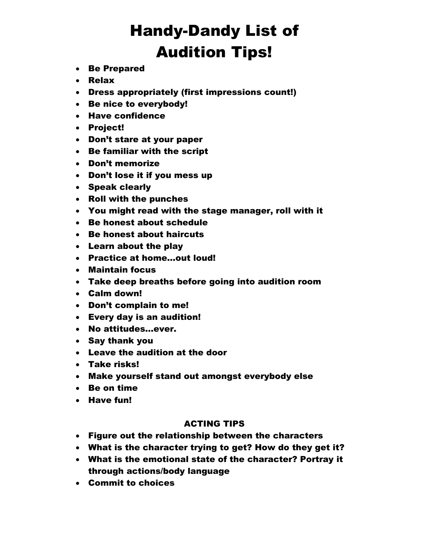## Handy-Dandy List of Audition Tips!

- Be Prepared
- Relax
- Dress appropriately (first impressions count!)
- Be nice to everybody!
- Have confidence
- Project!
- Don't stare at your paper
- Be familiar with the script
- Don't memorize
- Don't lose it if you mess up
- Speak clearly
- Roll with the punches
- You might read with the stage manager, roll with it
- Be honest about schedule
- Be honest about haircuts
- Learn about the play
- Practice at home…out loud!
- Maintain focus
- Take deep breaths before going into audition room
- Calm down!
- Don't complain to me!
- Every day is an audition!
- No attitudes…ever.
- Say thank you
- Leave the audition at the door
- Take risks!
- Make yourself stand out amongst everybody else
- Be on time
- Have fun!

## ACTING TIPS

- Figure out the relationship between the characters
- What is the character trying to get? How do they get it?
- What is the emotional state of the character? Portray it through actions/body language
- Commit to choices